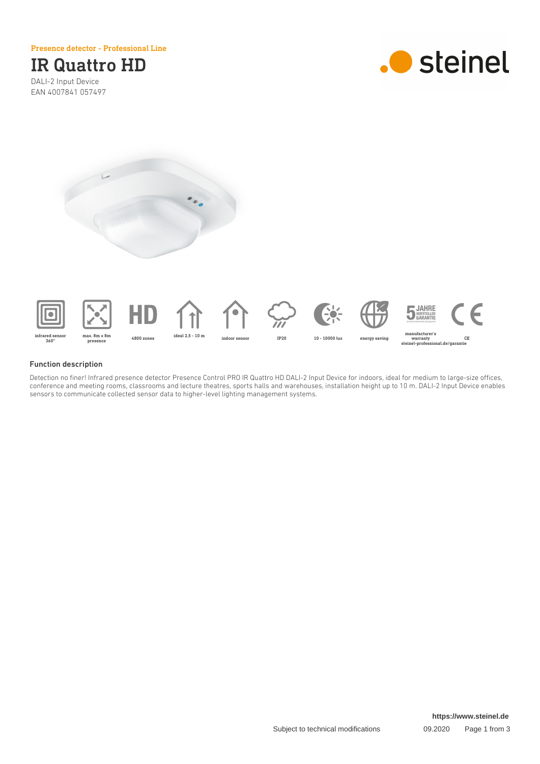Presence detector - Professional Line

# IR Quattro HD

DALI-2 Input Device EAN 4007841 057497







360°















∈ manufacturer's warranty steinel-professional.de/garantie CE

### Function description

Detection no finer! Infrared presence detector Presence Control PRO IR Quattro HD DALI-2 Input Device for indoors, ideal for medium to large-size offices, conference and meeting rooms, classrooms and lecture theatres, sports halls and warehouses, installation height up to 10 m. DALI-2 Input Device enables sensors to communicate collected sensor data to higher-level lighting management systems.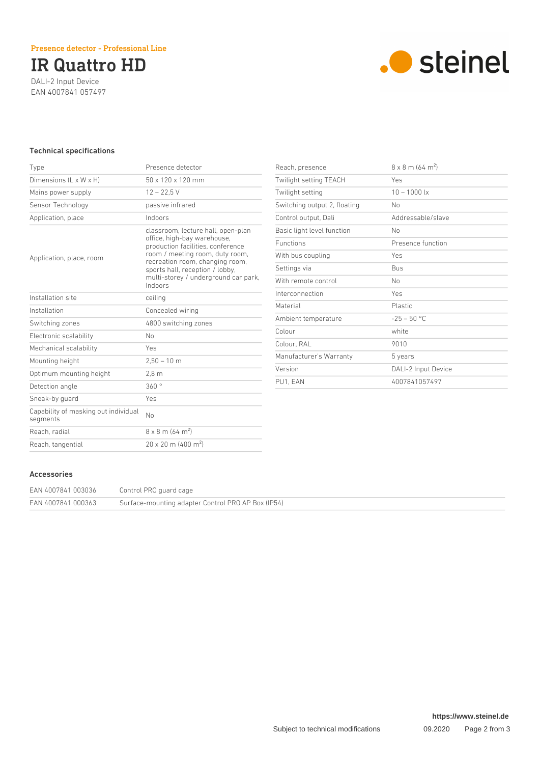## IR Quattro HD

DALI-2 Input Device EAN 4007841 057497



### Technical specifications

| Type                                             | Presence detector                                                                                                                                                                                                                                                  |
|--------------------------------------------------|--------------------------------------------------------------------------------------------------------------------------------------------------------------------------------------------------------------------------------------------------------------------|
| Dimensions (L x W x H)                           | $50 \times 120 \times 120$ mm                                                                                                                                                                                                                                      |
| Mains power supply                               | $12 - 22.5$ V                                                                                                                                                                                                                                                      |
| Sensor Technology                                | passive infrared                                                                                                                                                                                                                                                   |
| Application, place                               | Indoors                                                                                                                                                                                                                                                            |
| Application, place, room                         | classroom, lecture hall, open-plan<br>office, high-bay warehouse,<br>production facilities, conference<br>room / meeting room, duty room,<br>recreation room, changing room,<br>sports hall, reception / lobby,<br>multi-storey / underground car park,<br>Indoors |
| Installation site                                | ceiling                                                                                                                                                                                                                                                            |
| Installation                                     | Concealed wiring                                                                                                                                                                                                                                                   |
| Switching zones                                  | 4800 switching zones                                                                                                                                                                                                                                               |
| Electronic scalability                           | N <sub>0</sub>                                                                                                                                                                                                                                                     |
| Mechanical scalability                           | Yes                                                                                                                                                                                                                                                                |
| Mounting height                                  | $2,50 - 10$ m                                                                                                                                                                                                                                                      |
| Optimum mounting height                          | 2.8 <sub>m</sub>                                                                                                                                                                                                                                                   |
| Detection angle                                  | 360°                                                                                                                                                                                                                                                               |
| Sneak-by quard                                   | Yes                                                                                                                                                                                                                                                                |
| Capability of masking out individual<br>segments | No                                                                                                                                                                                                                                                                 |
| Reach, radial                                    | $8 \times 8$ m (64 m <sup>2</sup> )                                                                                                                                                                                                                                |
| Reach, tangential                                | $20 \times 20$ m (400 m <sup>2</sup> )                                                                                                                                                                                                                             |

| Reach, presence              | $8 \times 8$ m (64 m <sup>2</sup> ) |
|------------------------------|-------------------------------------|
| Twilight setting TEACH       | Yes                                 |
| Twilight setting             | $10 - 1000$ lx                      |
| Switching output 2, floating | No                                  |
| Control output, Dali         | Addressable/slave                   |
| Basic light level function   | No                                  |
| <b>Functions</b>             | Presence function                   |
| With bus coupling            | Yes                                 |
| Settings via                 | <b>Bus</b>                          |
| With remote control          | N <sub>0</sub>                      |
| Interconnection              | Yes                                 |
| Material                     | <b>Plastic</b>                      |
| Ambient temperature          | $-25 - 50$ °C                       |
| Colour                       | white                               |
| Colour, RAL                  | 9010                                |
| Manufacturer's Warranty      | 5 years                             |
| Version                      | DALI-2 Input Device                 |
| PU1. EAN                     | 4007841057497                       |

#### Accessories

| EAN 4007841 003036 | Control PRO guard cage                             |
|--------------------|----------------------------------------------------|
| EAN 4007841 000363 | Surface-mounting adapter Control PRO AP Box (IP54) |